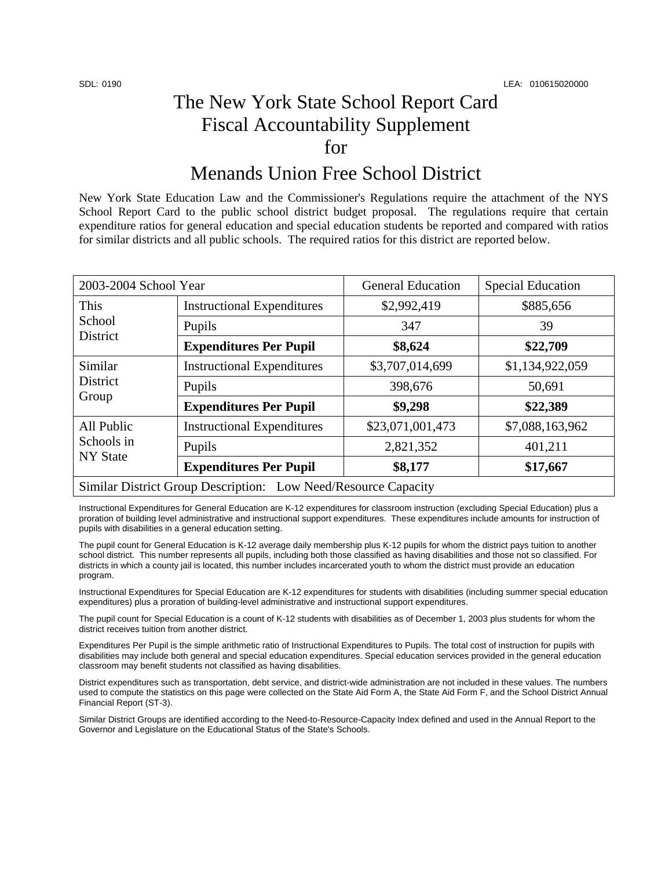## The New York State School Report Card Fiscal Accountability Supplement for

## Menands Union Free School District

New York State Education Law and the Commissioner's Regulations require the attachment of the NYS School Report Card to the public school district budget proposal. The regulations require that certain expenditure ratios for general education and special education students be reported and compared with ratios for similar districts and all public schools. The required ratios for this district are reported below.

| 2003-2004 School Year                                          |                                   | <b>General Education</b> | <b>Special Education</b> |  |
|----------------------------------------------------------------|-----------------------------------|--------------------------|--------------------------|--|
| This<br>School<br>District                                     | <b>Instructional Expenditures</b> | \$2,992,419              | \$885,656                |  |
|                                                                | Pupils                            | 347                      | 39                       |  |
|                                                                | <b>Expenditures Per Pupil</b>     | \$8,624                  | \$22,709                 |  |
| Similar<br>District<br>Group                                   | <b>Instructional Expenditures</b> | \$3,707,014,699          | \$1,134,922,059          |  |
|                                                                | Pupils                            | 398,676                  | 50,691                   |  |
|                                                                | <b>Expenditures Per Pupil</b>     | \$9,298                  | \$22,389                 |  |
| All Public<br>Schools in<br><b>NY State</b>                    | <b>Instructional Expenditures</b> | \$23,071,001,473         | \$7,088,163,962          |  |
|                                                                | Pupils                            | 2,821,352                | 401,211                  |  |
|                                                                | <b>Expenditures Per Pupil</b>     | \$8,177                  | \$17,667                 |  |
| Similar District Group Description: Low Need/Resource Capacity |                                   |                          |                          |  |

Instructional Expenditures for General Education are K-12 expenditures for classroom instruction (excluding Special Education) plus a proration of building level administrative and instructional support expenditures. These expenditures include amounts for instruction of pupils with disabilities in a general education setting.

The pupil count for General Education is K-12 average daily membership plus K-12 pupils for whom the district pays tuition to another school district. This number represents all pupils, including both those classified as having disabilities and those not so classified. For districts in which a county jail is located, this number includes incarcerated youth to whom the district must provide an education program.

Instructional Expenditures for Special Education are K-12 expenditures for students with disabilities (including summer special education expenditures) plus a proration of building-level administrative and instructional support expenditures.

The pupil count for Special Education is a count of K-12 students with disabilities as of December 1, 2003 plus students for whom the district receives tuition from another district.

Expenditures Per Pupil is the simple arithmetic ratio of Instructional Expenditures to Pupils. The total cost of instruction for pupils with disabilities may include both general and special education expenditures. Special education services provided in the general education classroom may benefit students not classified as having disabilities.

District expenditures such as transportation, debt service, and district-wide administration are not included in these values. The numbers used to compute the statistics on this page were collected on the State Aid Form A, the State Aid Form F, and the School District Annual Financial Report (ST-3).

Similar District Groups are identified according to the Need-to-Resource-Capacity Index defined and used in the Annual Report to the Governor and Legislature on the Educational Status of the State's Schools.